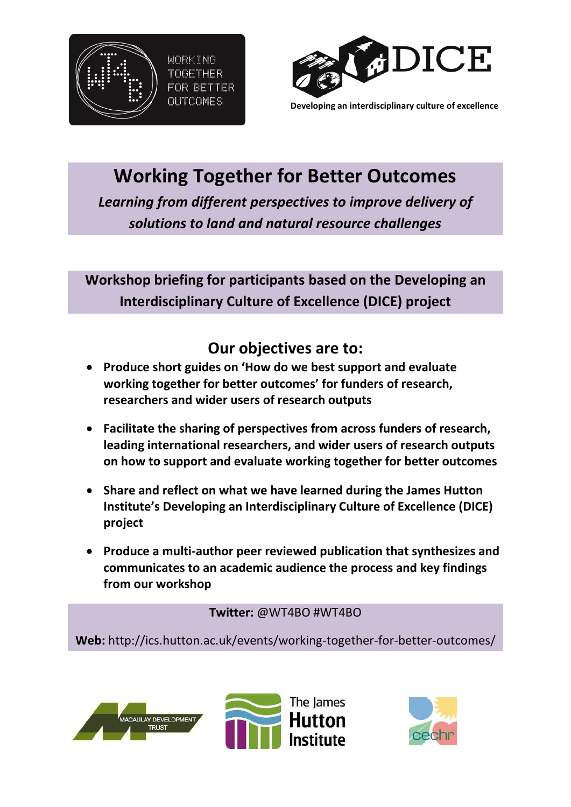



**Developing an interdisciplinary culture of excellence** 

# **Working Together for Better Outcomes**

*Learning from different perspectives to improve delivery of solutions to land and natural resource challenges*

**Workshop briefing for participants based on the Developing an Interdisciplinary Culture of Excellence (DICE) project**

## **Our objectives are to:**

- **Produce short guides on 'How do we best support and evaluate working together for better outcomes' for funders of research, researchers and wider users of research outputs**
- **Facilitate the sharing of perspectives from across funders of research, leading international researchers, and wider users of research outputs on how to support and evaluate working together for better outcomes**
- **Share and reflect on what we have learned during the James Hutton Institute's Developing an Interdisciplinary Culture of Excellence (DICE) project**
- **Produce a multi-author peer reviewed publication that synthesizes and communicates to an academic audience the process and key findings from our workshop**

**Twitter:** [@WT4BO](https://twitter.com/WT4BO) #WT4BO

**Web:** http://ics.hutton.ac.uk/events/working-together-for-better-outcomes/



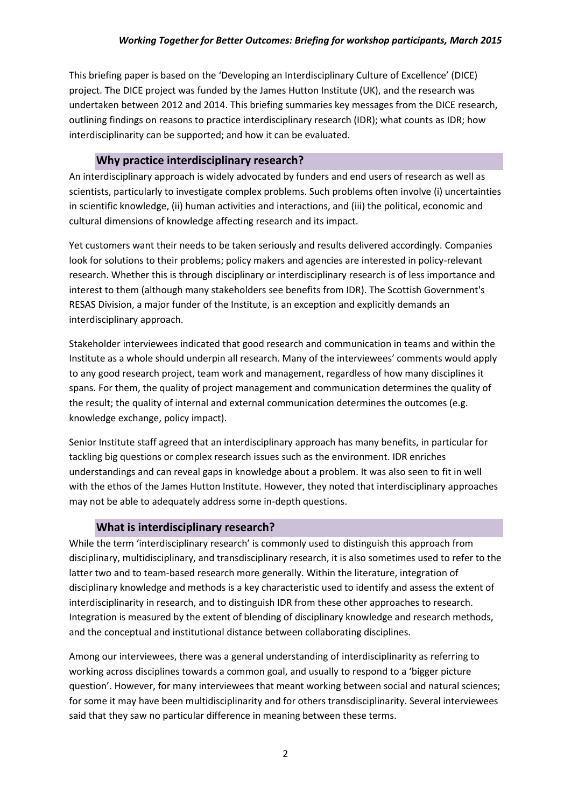This briefing paper is based on the 'Developing an Interdisciplinary Culture of Excellence' (DICE) project. The DICE project was funded by the James Hutton Institute (UK), and the research was undertaken between 2012 and 2014. This briefing summaries key messages from the DICE research, outlining findings on reasons to practice interdisciplinary research (IDR); what counts as IDR; how interdisciplinarity can be supported; and how it can be evaluated.

#### **Why practice interdisciplinary research?**

An interdisciplinary approach is widely advocated by funders and end users of research as well as scientists, particularly to investigate complex problems. Such problems often involve (i) uncertainties in scientific knowledge, (ii) human activities and interactions, and (iii) the political, economic and cultural dimensions of knowledge affecting research and its impact.

Yet customers want their needs to be taken seriously and results delivered accordingly. Companies look for solutions to their problems; policy makers and agencies are interested in policy-relevant research. Whether this is through disciplinary or interdisciplinary research is of less importance and interest to them (although many stakeholders see benefits from IDR). The Scottish Government's RESAS Division, a major funder of the Institute, is an exception and explicitly demands an interdisciplinary approach.

Stakeholder interviewees indicated that good research and communication in teams and within the Institute as a whole should underpin all research. Many of the interviewees' comments would apply to any good research project, team work and management, regardless of how many disciplines it spans. For them, the quality of project management and communication determines the quality of the result; the quality of internal and external communication determines the outcomes (e.g. knowledge exchange, policy impact).

Senior Institute staff agreed that an interdisciplinary approach has many benefits, in particular for tackling big questions or complex research issues such as the environment. IDR enriches understandings and can reveal gaps in knowledge about a problem. It was also seen to fit in well with the ethos of the James Hutton Institute. However, they noted that interdisciplinary approaches may not be able to adequately address some in-depth questions.

#### **What is interdisciplinary research?**

While the term 'interdisciplinary research' is commonly used to distinguish this approach from disciplinary, multidisciplinary, and transdisciplinary research, it is also sometimes used to refer to the latter two and to team-based research more generally. Within the literature, integration of disciplinary knowledge and methods is a key characteristic used to identify and assess the extent of interdisciplinarity in research, and to distinguish IDR from these other approaches to research. Integration is measured by the extent of blending of disciplinary knowledge and research methods, and the conceptual and institutional distance between collaborating disciplines.

Among our interviewees, there was a general understanding of interdisciplinarity as referring to working across disciplines towards a common goal, and usually to respond to a 'bigger picture question'. However, for many interviewees that meant working between social and natural sciences; for some it may have been multidisciplinarity and for others transdisciplinarity. Several interviewees said that they saw no particular difference in meaning between these terms.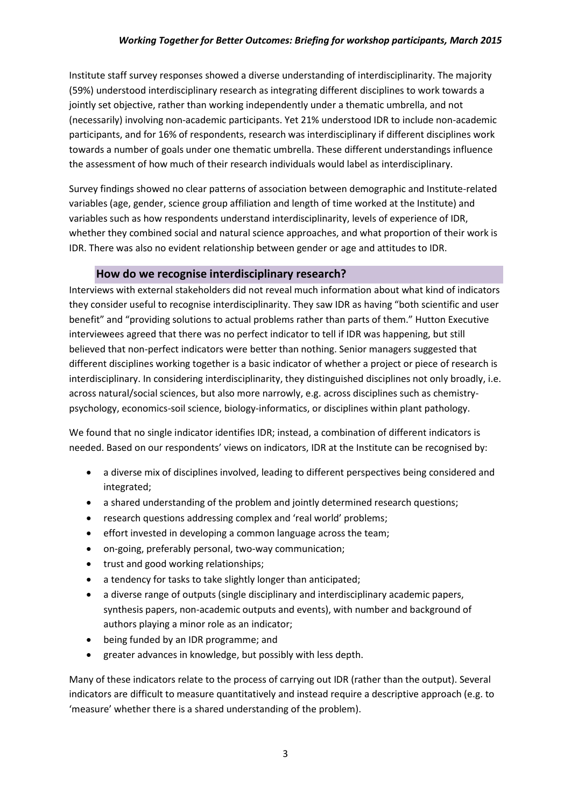Institute staff survey responses showed a diverse understanding of interdisciplinarity. The majority (59%) understood interdisciplinary research as integrating different disciplines to work towards a jointly set objective, rather than working independently under a thematic umbrella, and not (necessarily) involving non-academic participants. Yet 21% understood IDR to include non-academic participants, and for 16% of respondents, research was interdisciplinary if different disciplines work towards a number of goals under one thematic umbrella. These different understandings influence the assessment of how much of their research individuals would label as interdisciplinary.

Survey findings showed no clear patterns of association between demographic and Institute-related variables (age, gender, science group affiliation and length of time worked at the Institute) and variables such as how respondents understand interdisciplinarity, levels of experience of IDR, whether they combined social and natural science approaches, and what proportion of their work is IDR. There was also no evident relationship between gender or age and attitudes to IDR.

#### **How do we recognise interdisciplinary research?**

Interviews with external stakeholders did not reveal much information about what kind of indicators they consider useful to recognise interdisciplinarity. They saw IDR as having "both scientific and user benefit" and "providing solutions to actual problems rather than parts of them." Hutton Executive interviewees agreed that there was no perfect indicator to tell if IDR was happening, but still believed that non-perfect indicators were better than nothing. Senior managers suggested that different disciplines working together is a basic indicator of whether a project or piece of research is interdisciplinary. In considering interdisciplinarity, they distinguished disciplines not only broadly, i.e. across natural/social sciences, but also more narrowly, e.g. across disciplines such as chemistrypsychology, economics-soil science, biology-informatics, or disciplines within plant pathology.

We found that no single indicator identifies IDR; instead, a combination of different indicators is needed. Based on our respondents' views on indicators, IDR at the Institute can be recognised by:

- a diverse mix of disciplines involved, leading to different perspectives being considered and integrated;
- a shared understanding of the problem and jointly determined research questions;
- research questions addressing complex and 'real world' problems;
- effort invested in developing a common language across the team;
- on-going, preferably personal, two-way communication;
- trust and good working relationships;
- a tendency for tasks to take slightly longer than anticipated;
- a diverse range of outputs (single disciplinary and interdisciplinary academic papers, synthesis papers, non-academic outputs and events), with number and background of authors playing a minor role as an indicator;
- being funded by an IDR programme; and
- greater advances in knowledge, but possibly with less depth.

Many of these indicators relate to the process of carrying out IDR (rather than the output). Several indicators are difficult to measure quantitatively and instead require a descriptive approach (e.g. to 'measure' whether there is a shared understanding of the problem).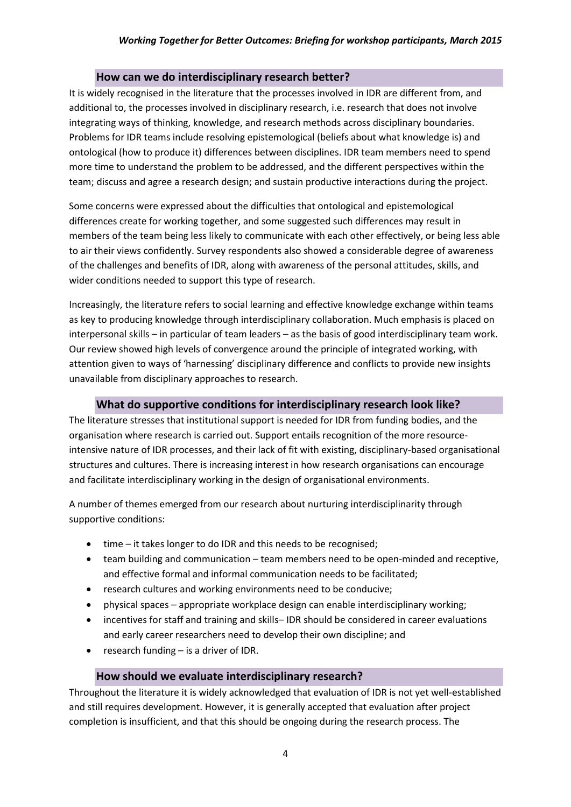#### **How can we do interdisciplinary research better?**

It is widely recognised in the literature that the processes involved in IDR are different from, and additional to, the processes involved in disciplinary research, i.e. research that does not involve integrating ways of thinking, knowledge, and research methods across disciplinary boundaries. Problems for IDR teams include resolving epistemological (beliefs about what knowledge is) and ontological (how to produce it) differences between disciplines. IDR team members need to spend more time to understand the problem to be addressed, and the different perspectives within the team; discuss and agree a research design; and sustain productive interactions during the project.

Some concerns were expressed about the difficulties that ontological and epistemological differences create for working together, and some suggested such differences may result in members of the team being less likely to communicate with each other effectively, or being less able to air their views confidently. Survey respondents also showed a considerable degree of awareness of the challenges and benefits of IDR, along with awareness of the personal attitudes, skills, and wider conditions needed to support this type of research.

Increasingly, the literature refers to social learning and effective knowledge exchange within teams as key to producing knowledge through interdisciplinary collaboration. Much emphasis is placed on interpersonal skills – in particular of team leaders – as the basis of good interdisciplinary team work. Our review showed high levels of convergence around the principle of integrated working, with attention given to ways of 'harnessing' disciplinary difference and conflicts to provide new insights unavailable from disciplinary approaches to research.

#### **What do supportive conditions for interdisciplinary research look like?**

The literature stresses that institutional support is needed for IDR from funding bodies, and the organisation where research is carried out. Support entails recognition of the more resourceintensive nature of IDR processes, and their lack of fit with existing, disciplinary-based organisational structures and cultures. There is increasing interest in how research organisations can encourage and facilitate interdisciplinary working in the design of organisational environments.

A number of themes emerged from our research about nurturing interdisciplinarity through supportive conditions:

- time it takes longer to do IDR and this needs to be recognised;
- team building and communication team members need to be open-minded and receptive, and effective formal and informal communication needs to be facilitated;
- research cultures and working environments need to be conducive;
- physical spaces appropriate workplace design can enable interdisciplinary working;
- incentives for staff and training and skills– IDR should be considered in career evaluations and early career researchers need to develop their own discipline; and
- research funding is a driver of IDR.

#### **How should we evaluate interdisciplinary research?**

Throughout the literature it is widely acknowledged that evaluation of IDR is not yet well-established and still requires development. However, it is generally accepted that evaluation after project completion is insufficient, and that this should be ongoing during the research process. The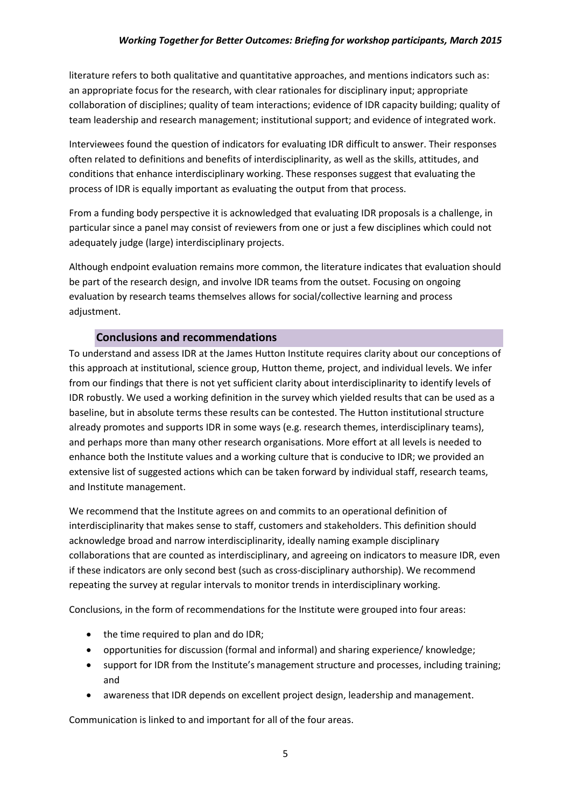literature refers to both qualitative and quantitative approaches, and mentions indicators such as: an appropriate focus for the research, with clear rationales for disciplinary input; appropriate collaboration of disciplines; quality of team interactions; evidence of IDR capacity building; quality of team leadership and research management; institutional support; and evidence of integrated work.

Interviewees found the question of indicators for evaluating IDR difficult to answer. Their responses often related to definitions and benefits of interdisciplinarity, as well as the skills, attitudes, and conditions that enhance interdisciplinary working. These responses suggest that evaluating the process of IDR is equally important as evaluating the output from that process.

From a funding body perspective it is acknowledged that evaluating IDR proposals is a challenge, in particular since a panel may consist of reviewers from one or just a few disciplines which could not adequately judge (large) interdisciplinary projects.

Although endpoint evaluation remains more common, the literature indicates that evaluation should be part of the research design, and involve IDR teams from the outset. Focusing on ongoing evaluation by research teams themselves allows for social/collective learning and process adiustment.

#### **Conclusions and recommendations**

To understand and assess IDR at the James Hutton Institute requires clarity about our conceptions of this approach at institutional, science group, Hutton theme, project, and individual levels. We infer from our findings that there is not yet sufficient clarity about interdisciplinarity to identify levels of IDR robustly. We used a working definition in the survey which yielded results that can be used as a baseline, but in absolute terms these results can be contested. The Hutton institutional structure already promotes and supports IDR in some ways (e.g. research themes, interdisciplinary teams), and perhaps more than many other research organisations. More effort at all levels is needed to enhance both the Institute values and a working culture that is conducive to IDR; we provided an extensive list of suggested actions which can be taken forward by individual staff, research teams, and Institute management.

We recommend that the Institute agrees on and commits to an operational definition of interdisciplinarity that makes sense to staff, customers and stakeholders. This definition should acknowledge broad and narrow interdisciplinarity, ideally naming example disciplinary collaborations that are counted as interdisciplinary, and agreeing on indicators to measure IDR, even if these indicators are only second best (such as cross-disciplinary authorship). We recommend repeating the survey at regular intervals to monitor trends in interdisciplinary working.

Conclusions, in the form of recommendations for the Institute were grouped into four areas:

- the time required to plan and do IDR;
- opportunities for discussion (formal and informal) and sharing experience/ knowledge;
- support for IDR from the Institute's management structure and processes, including training; and
- awareness that IDR depends on excellent project design, leadership and management.

Communication is linked to and important for all of the four areas.